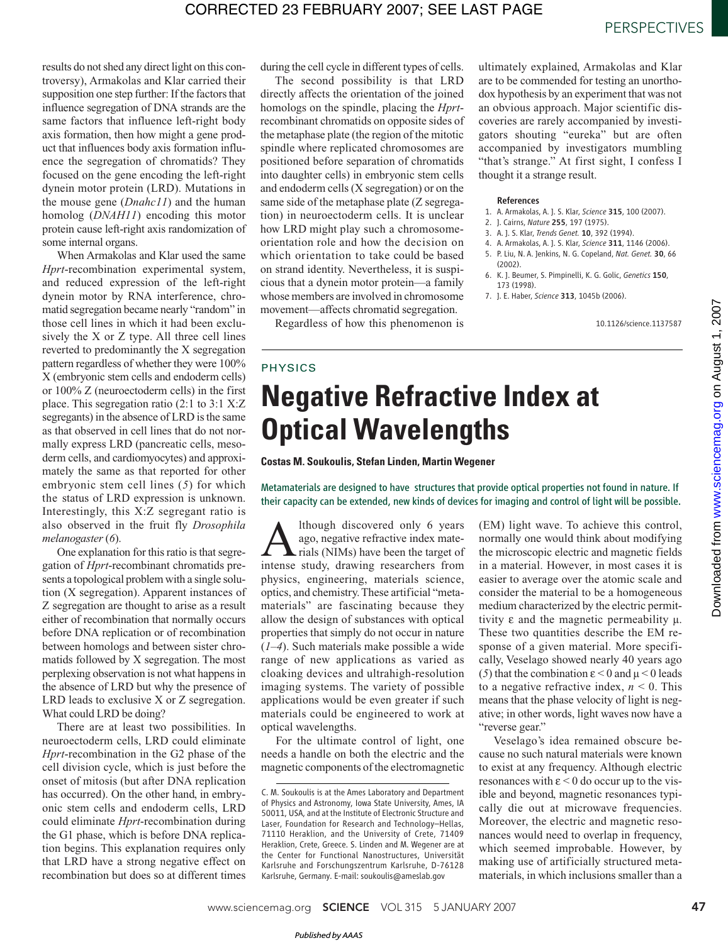results do not shed any direct light on this controversy), Armakolas and Klar carried their supposition one step further: If the factors that influence segregation of DNA strands are the same factors that influence left-right body axis formation, then how might a gene product that influences body axis formation influence the segregation of chromatids? They focused on the gene encoding the left-right dynein motor protein (LRD). Mutations in the mouse gene (*Dnahc11*) and the human homolog (*DNAH11*) encoding this motor protein cause left-right axis randomization of some internal organs.

When Armakolas and Klar used the same *Hprt*-recombination experimental system, and reduced expression of the left-right dynein motor by RNA interference, chromatid segregation became nearly "random" in those cell lines in which it had been exclusively the X or Z type. All three cell lines reverted to predominantly the X segregation pattern regardless of whether they were 100% X (embryonic stem cells and endoderm cells) or 100% Z (neuroectoderm cells) in the first place. This segregation ratio (2:1 to 3:1 X:Z segregants) in the absence of LRD is the same as that observed in cell lines that do not normally express LRD (pancreatic cells, mesoderm cells, and cardiomyocytes) and approximately the same as that reported for other embryonic stem cell lines (*5*) for which the status of LRD expression is unknown. Interestingly, this X:Z segregant ratio is also observed in the fruit fly *Drosophila melanogaster* (*6*).

One explanation for this ratio is that segregation of *Hprt*-recombinant chromatids presents a topological problem with a single solution (X segregation). Apparent instances of Z segregation are thought to arise as a result either of recombination that normally occurs before DNA replication or of recombination between homologs and between sister chromatids followed by X segregation. The most perplexing observation is not what happens in the absence of LRD but why the presence of LRD leads to exclusive X or Z segregation. What could LRD be doing?

There are at least two possibilities. In neuroectoderm cells, LRD could eliminate *Hprt*-recombination in the G2 phase of the cell division cycle, which is just before the onset of mitosis (but after DNA replication has occurred). On the other hand, in embryonic stem cells and endoderm cells, LRD could eliminate *Hprt*-recombination during the G1 phase, which is before DNA replication begins. This explanation requires only that LRD have a strong negative effect on recombination but does so at different times during the cell cycle in different types of cells.

The second possibility is that LRD directly affects the orientation of the joined homologs on the spindle, placing the *Hprt*recombinant chromatids on opposite sides of the metaphase plate (the region of the mitotic spindle where replicated chromosomes are positioned before separation of chromatids into daughter cells) in embryonic stem cells and endoderm cells (X segregation) or on the same side of the metaphase plate (Z segregation) in neuroectoderm cells. It is unclear how LRD might play such a chromosomeorientation role and how the decision on which orientation to take could be based on strand identity. Nevertheless, it is suspicious that a dynein motor protein—a family whose members are involved in chromosome movement—affects chromatid segregation.

Regardless of how this phenomenon is

### PHYSICS

ultimately explained, Armakolas and Klar are to be commended for testing an unorthodox hypothesis by an experiment that was not an obvious approach. Major scientific discoveries are rarely accompanied by investigators shouting "eureka" but are often accompanied by investigators mumbling "that's strange." At first sight, I confess I thought it a strange result.

#### References

- 1. A. Armakolas, A. J. S. Klar, *Science* 315, 100 (2007).
- 2. J. Cairns, *Nature* 255, 197 (1975).
- 3. A. J. S. Klar, *Trends Genet.* 10, 392 (1994).
- 4. A. Armakolas, A. J. S. Klar, *Science* 311, 1146 (2006). 5. P. Liu, N. A. Jenkins, N. G. Copeland, *Nat. Genet.* 30, 66 (2002).
- 6. K. J. Beumer, S. Pimpinelli, K. G. Golic, *Genetics* 150, 173 (1998).
- 7. J. E. Haber, *Science* 313, 1045b (2006).

10.1126/science.1137587

# **Negative Refractive Index at Optical Wavelengths**

**Costas M. Soukoulis, Stefan Linden, Martin Wegener**

Metamaterials are designed to have structures that provide optical properties not found in nature. If their capacity can be extended, new kinds of devices for imaging and control of light will be possible.

A lthough discovered only 6 years<br>ago, negative refractive index mate-<br>rials (NIMs) have been the target of<br>intense study, drawing researchers from lthough discovered only 6 years ago, negative refractive index materials (NIMs) have been the target of physics, engineering, materials science, optics, and chemistry. These artificial "metamaterials" are fascinating because they allow the design of substances with optical properties that simply do not occur in nature (*1–4*). Such materials make possible a wide range of new applications as varied as cloaking devices and ultrahigh-resolution imaging systems. The variety of possible applications would be even greater if such materials could be engineered to work at optical wavelengths.

For the ultimate control of light, one needs a handle on both the electric and the magnetic components of the electromagnetic (EM) light wave. To achieve this control, normally one would think about modifying the microscopic electric and magnetic fields in a material. However, in most cases it is easier to average over the atomic scale and consider the material to be a homogeneous medium characterized by the electric permittivity  $ε$  and the magnetic permeability  $μ$ . These two quantities describe the EM response of a given material. More specifically, Veselago showed nearly 40 years ago (5) that the combination  $\varepsilon < 0$  and  $\mu < 0$  leads to a negative refractive index,  $n \leq 0$ . This means that the phase velocity of light is negative; in other words, light waves now have a "reverse gear."

Veselago's idea remained obscure because no such natural materials were known to exist at any frequency. Although electric resonances with  $\varepsilon$  < 0 do occur up to the visible and beyond, magnetic resonances typically die out at microwave frequencies. Moreover, the electric and magnetic resonances would need to overlap in frequency, which seemed improbable. However, by making use of artificially structured metamaterials, in which inclusions smaller than a

C. M. Soukoulis is at the Ames Laboratory and Department of Physics and Astronomy, Iowa State University, Ames, IA 50011, USA, and at the Institute of Electronic Structure and Laser, Foundation for Research and Technology–Hellas, 71110 Heraklion, and the University of Crete, 71409 Heraklion, Crete, Greece. S. Linden and M. Wegener are at the Center for Functional Nanostructures, Universität Karlsruhe and Forschungszentrum Karlsruhe, D-76128 Karlsruhe, Germany. E-mail: soukoulis@ameslab.gov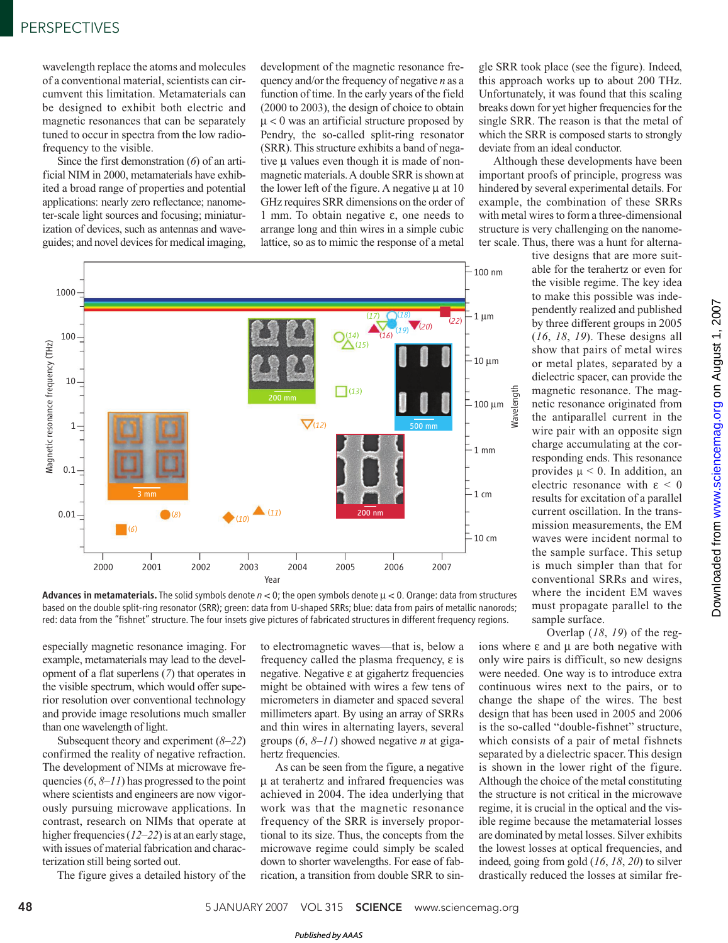### **PERSPECTIVES**

wavelength replace the atoms and molecules of a conventional material, scientists can circumvent this limitation. Metamaterials can be designed to exhibit both electric and magnetic resonances that can be separately tuned to occur in spectra from the low radiofrequency to the visible.

Since the first demonstration (*6*) of an artificial NIM in 2000, metamaterials have exhibited a broad range of properties and potential applications: nearly zero reflectance; nanometer-scale light sources and focusing; miniaturization of devices, such as antennas and waveguides; and novel devices for medical imaging, development of the magnetic resonance frequency and/or the frequency of negative *n* as a function of time. In the early years of the field (2000 to 2003), the design of choice to obtain  $\mu$  < 0 was an artificial structure proposed by Pendry, the so-called split-ring resonator (SRR). This structure exhibits a band of negative µ values even though it is made of nonmagnetic materials. A double SRR is shown at the lower left of the figure. A negative  $\mu$  at 10 GHz requires SRR dimensions on the order of 1 mm. To obtain negative ε, one needs to arrange long and thin wires in a simple cubic lattice, so as to mimic the response of a metal



pendently realized and published by three different groups in 2005 (*16*, *18*, *19*). These designs all show that pairs of metal wires or metal plates, separated by a dielectric spacer, can provide the magnetic resonance. The magnetic resonance originated from the antiparallel current in the wire pair with an opposite sign charge accumulating at the corresponding ends. This resonance provides  $\mu$  < 0. In addition, an electric resonance with  $\epsilon$  < 0 results for excitation of a parallel current oscillation. In the transmission measurements, the EM waves were incident normal to the sample surface. This setup is much simpler than that for conventional SRRs and wires, where the incident EM waves must propagate parallel to the sample surface.

gle SRR took place (see the figure). Indeed, this approach works up to about 200 THz. Unfortunately, it was found that this scaling breaks down for yet higher frequencies for the single SRR. The reason is that the metal of which the SRR is composed starts to strongly

Although these developments have been important proofs of principle, progress was hindered by several experimental details. For example, the combination of these SRRs with metal wires to form a three-dimensional structure is very challenging on the nanometer scale. Thus, there was a hunt for alterna-

> tive designs that are more suitable for the terahertz or even for the visible regime. The key idea to make this possible was inde-

deviate from an ideal conductor.

based on the double split-ring resonator (SRR); green: data from U-shaped SRRs; blue: data from pairs of metallic nanorods; red: data from the "fishnet" structure. The four insets give pictures of fabricated structures in different frequency regions.

especially magnetic resonance imaging. For example, metamaterials may lead to the development of a flat superlens (*7*) that operates in the visible spectrum, which would offer superior resolution over conventional technology and provide image resolutions much smaller than one wavelength of light.

Subsequent theory and experiment (*8–22*) confirmed the reality of negative refraction. The development of NIMs at microwave frequencies (*6*, *8–11*) has progressed to the point where scientists and engineers are now vigorously pursuing microwave applications. In contrast, research on NIMs that operate at higher frequencies (*12–22*) is at an early stage, with issues of material fabrication and characterization still being sorted out.

The figure gives a detailed history of the

to electromagnetic waves—that is, below a frequency called the plasma frequency, ε is negative. Negative ε at gigahertz frequencies might be obtained with wires a few tens of micrometers in diameter and spaced several millimeters apart. By using an array of SRRs and thin wires in alternating layers, several groups (*6*, *8–11*) showed negative *n* at gigahertz frequencies.

As can be seen from the figure, a negative µ at terahertz and infrared frequencies was achieved in 2004. The idea underlying that work was that the magnetic resonance frequency of the SRR is inversely proportional to its size. Thus, the concepts from the microwave regime could simply be scaled down to shorter wavelengths. For ease of fabrication, a transition from double SRR to sin-

Overlap (*18*, *19*) of the regions where  $ε$  and  $μ$  are both negative with only wire pairs is difficult, so new designs were needed. One way is to introduce extra continuous wires next to the pairs, or to change the shape of the wires. The best design that has been used in 2005 and 2006 is the so-called "double-fishnet" structure, which consists of a pair of metal fishnets separated by a dielectric spacer. This design is shown in the lower right of the figure. Although the choice of the metal constituting the structure is not critical in the microwave regime, it is crucial in the optical and the visible regime because the metamaterial losses are dominated by metal losses. Silver exhibits the lowest losses at optical frequencies, and indeed, going from gold (*16*, *18*, *20*) to silver drastically reduced the losses at similar fre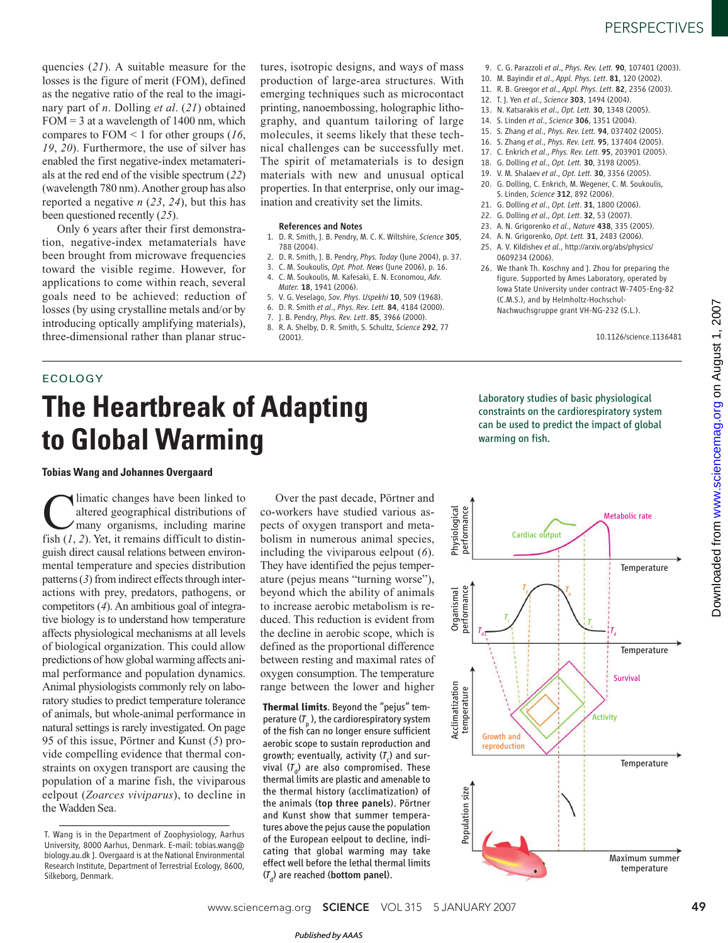quencies (*21*). A suitable measure for the losses is the figure of merit (FOM), defined as the negative ratio of the real to the imaginary part of *n*. Dolling *et al*. (*21*) obtained  $FOM = 3$  at a wavelength of 1400 nm, which compares to FOM < 1 for other groups (*16*, *19*, *20*). Furthermore, the use of silver has enabled the first negative-index metamaterials at the red end of the visible spectrum (*22*) (wavelength 780 nm). Another group has also reported a negative *n* (*23*, *24*), but this has been questioned recently (*25*).

Only 6 years after their first demonstration, negative-index metamaterials have been brought from microwave frequencies toward the visible regime. However, for applications to come within reach, several goals need to be achieved: reduction of losses (by using crystalline metals and/or by introducing optically amplifying materials), three-dimensional rather than planar structures, isotropic designs, and ways of mass production of large-area structures. With emerging techniques such as microcontact printing, nanoembossing, holographic lithography, and quantum tailoring of large molecules, it seems likely that these technical challenges can be successfully met. The spirit of metamaterials is to design materials with new and unusual optical properties. In that enterprise, only our imagination and creativity set the limits.

#### References and Notes

- 1. D. R. Smith, J. B. Pendry, M. C. K. Wiltshire, *Science* 305, 788 (2004).
- 2. D. R. Smith, J. B. Pendry, *Phys. Today* (June 2004), p. 37.
- 3. C. M. Soukoulis, *Opt. Phot. News* (June 2006), p. 16.
- 4. C. M. Soukoulis, M. Kafesaki, E. N. Economou, *Adv. Mater.* 18, 1941 (2006).
- 5. V. G. Veselago, *Sov. Phys. Uspekhi* 10, 509 (1968).
- 6. D. R. Smith *et al*., *Phys. Rev. Lett.* 84, 4184 (2000).
- 7. J. B. Pendry, *Phys. Rev. Lett*. 85, 3966 (2000).
- 8. R. A. Shelby, D. R. Smith, S. Schultz, *Science* 292, 77 (2001).
- 9. C. G. Parazzoli *et al*., *Phys. Rev. Lett.* 90, 107401 (2003).
- 10. M. Bayindir *et al*., *Appl. Phys. Lett*. 81, 120 (2002).
- 11. R. B. Greegor *et al*., *Appl. Phys. Lett*. 82, 2356 (2003).
- 12. T. J. Yen *et al*., *Science* 303, 1494 (2004).
- 13. N. Katsarakis *et al*., *Opt. Lett.* 30, 1348 (2005). 14. S. Linden *et al*., *Science* 306, 1351 (2004).
- 15. S. Zhang *et al*., *Phys. Rev. Lett.* 94, 037402 (2005).
- 16. S. Zhang *et al*., *Phys. Rev. Lett.* 95, 137404 (2005).
- 17. C. Enkrich *et al*., *Phys. Rev. Lett*. 95, 203901 (2005).
- 18. G. Dolling *et al*., *Opt. Lett.* 30, 3198 (2005).
- 19. V. M. Shalaev *et al*., *Opt. Lett.* 30, 3356 (2005).
- 20. G. Dolling, C. Enkrich, M. Wegener, C. M. Soukoulis, S. Linden, *Science* 312, 892 (2006).
- 21. G. Dolling *et al*., *Opt. Lett*. 31, 1800 (2006).
- 22. G. Dolling *et al*., *Opt. Lett*. 32, 53 (2007).
- 23. A. N. Grigorenko *et al*., *Nature* 438, 335 (2005).
- 24. A. N. Grigorenko, *Opt. Lett.* 31, 2483 (2006).
- 25. A. V. Kildishev *et al*., http://arxiv.org/abs/physics/ 0609234 (2006).
- 26. We thank Th. Koschny and J. Zhou for preparing the figure. Supported by Ames Laboratory, operated by Iowa State University under contract W-7405-Eng-82 (C.M.S.), and by Helmholtz-Hochschul-Nachwuchsgruppe grant VH-NG-232 (S.L.).

10.1126/science.1136481

### ECOLOGY

# **The Heartbreak of Adapting to Global Warming**

Laboratory studies of basic physiological constraints on the cardiorespiratory system can be used to predict the impact of global warming on fish.

**Tobias Wang and Johannes Overgaard**

**C** limatic changes have been linked to altered geographical distributions of many organisms, including marine fish (1, 2). Yet, it remains difficult to distinlimatic changes have been linked to altered geographical distributions of many organisms, including marine guish direct causal relations between environmental temperature and species distribution patterns (*3*) from indirect effects through interactions with prey, predators, pathogens, or competitors (*4*). An ambitious goal of integrative biology is to understand how temperature affects physiological mechanisms at all levels of biological organization. This could allow predictions of how global warming affects animal performance and population dynamics. Animal physiologists commonly rely on laboratory studies to predict temperature tolerance of animals, but whole-animal performance in natural settings is rarely investigated. On page 95 of this issue, Pörtner and Kunst (*5*) provide compelling evidence that thermal constraints on oxygen transport are causing the population of a marine fish, the viviparous eelpout (*Zoarces viviparus*), to decline in the Wadden Sea.

Over the past decade, Pörtner and co-workers have studied various aspects of oxygen transport and metabolism in numerous animal species, including the viviparous eelpout (*6*). They have identified the pejus temperature (pejus means "turning worse"), beyond which the ability of animals to increase aerobic metabolism is reduced. This reduction is evident from the decline in aerobic scope, which is defined as the proportional difference between resting and maximal rates of oxygen consumption. The temperature range between the lower and higher

**Thermal limits**. Beyond the "pejus" temperature (*T* p ), the cardiorespiratory system of the fish can no longer ensure sufficient aerobic scope to sustain reproduction and growth; eventually, activity  $(\mathcal{T}_c)$  and survival (*T* d ) are also compromised. These thermal limits are plastic and amenable to the thermal history (acclimatization) of the animals (top three panels). Pörtner and Kunst show that summer temperatures above the pejus cause the population of the European eelpout to decline, indicating that global warming may take effect well before the lethal thermal limits (T<sub>d</sub>) are reached (**bottom panel**).



T. Wang is in the Department of Zoophysiology, Aarhus University, 8000 Aarhus, Denmark. E-mail: tobias.wang@ biology.au.dk J. Overgaard is at the National Environmental Research Institute, Department of Terrestrial Ecology, 8600, Silkeborg, Denmark.